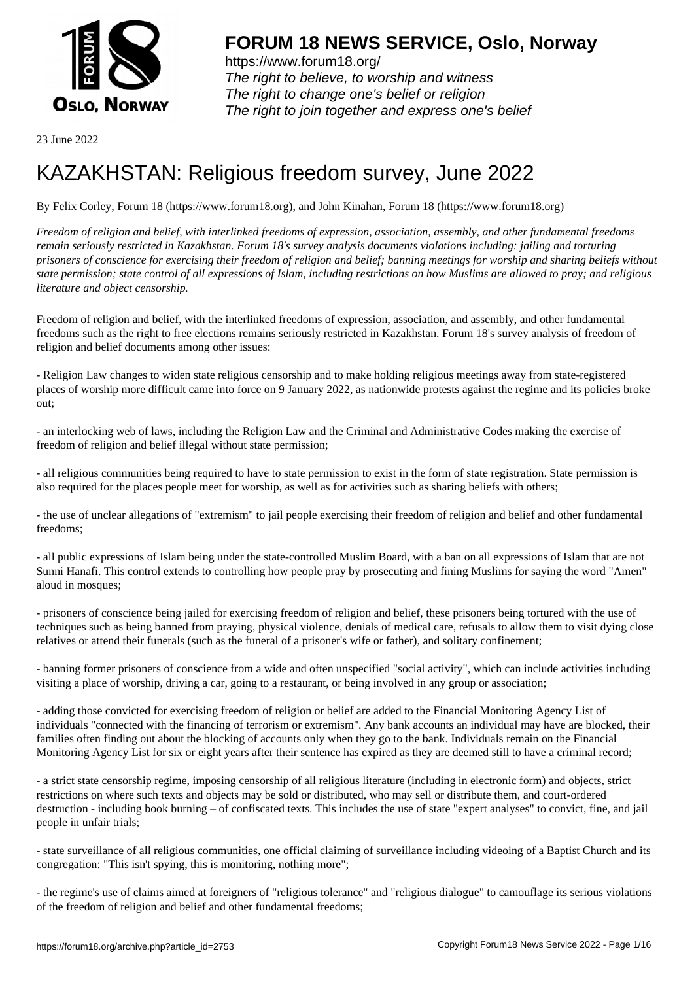

https://www.forum18.org/ The right to believe, to worship and witness The right to change one's belief or religion [The right to join together a](https://www.forum18.org/)nd express one's belief

23 June 2022

# [KAZAKHSTAN:](https://www.forum18.org) Religious freedom survey, June 2022

By Felix Corley, Forum 18 (https://www.forum18.org), and John Kinahan, Forum 18 (https://www.forum18.org)

*Freedom of religion and belief, with interlinked freedoms of expression, association, assembly, and other fundamental freedoms remain seriously restricted in Kazakhstan. Forum 18's survey analysis documents violations including: jailing and torturing prisoners of conscience for exercising their freedom of religion and belief; banning meetings for worship and sharing beliefs without state permission; state control of all expressions of Islam, including restrictions on how Muslims are allowed to pray; and religious literature and object censorship.*

Freedom of religion and belief, with the interlinked freedoms of expression, association, and assembly, and other fundamental freedoms such as the right to free elections remains seriously restricted in Kazakhstan. Forum 18's survey analysis of freedom of religion and belief documents among other issues:

- Religion Law changes to widen state religious censorship and to make holding religious meetings away from state-registered places of worship more difficult came into force on 9 January 2022, as nationwide protests against the regime and its policies broke out;

- an interlocking web of laws, including the Religion Law and the Criminal and Administrative Codes making the exercise of freedom of religion and belief illegal without state permission;

- all religious communities being required to have to state permission to exist in the form of state registration. State permission is also required for the places people meet for worship, as well as for activities such as sharing beliefs with others;

- the use of unclear allegations of "extremism" to jail people exercising their freedom of religion and belief and other fundamental freedoms;

- all public expressions of Islam being under the state-controlled Muslim Board, with a ban on all expressions of Islam that are not Sunni Hanafi. This control extends to controlling how people pray by prosecuting and fining Muslims for saying the word "Amen" aloud in mosques;

- prisoners of conscience being jailed for exercising freedom of religion and belief, these prisoners being tortured with the use of techniques such as being banned from praying, physical violence, denials of medical care, refusals to allow them to visit dying close relatives or attend their funerals (such as the funeral of a prisoner's wife or father), and solitary confinement;

- banning former prisoners of conscience from a wide and often unspecified "social activity", which can include activities including visiting a place of worship, driving a car, going to a restaurant, or being involved in any group or association;

- adding those convicted for exercising freedom of religion or belief are added to the Financial Monitoring Agency List of individuals "connected with the financing of terrorism or extremism". Any bank accounts an individual may have are blocked, their families often finding out about the blocking of accounts only when they go to the bank. Individuals remain on the Financial Monitoring Agency List for six or eight years after their sentence has expired as they are deemed still to have a criminal record;

- a strict state censorship regime, imposing censorship of all religious literature (including in electronic form) and objects, strict restrictions on where such texts and objects may be sold or distributed, who may sell or distribute them, and court-ordered destruction - including book burning – of confiscated texts. This includes the use of state "expert analyses" to convict, fine, and jail people in unfair trials;

- state surveillance of all religious communities, one official claiming of surveillance including videoing of a Baptist Church and its congregation: "This isn't spying, this is monitoring, nothing more";

- the regime's use of claims aimed at foreigners of "religious tolerance" and "religious dialogue" to camouflage its serious violations of the freedom of religion and belief and other fundamental freedoms;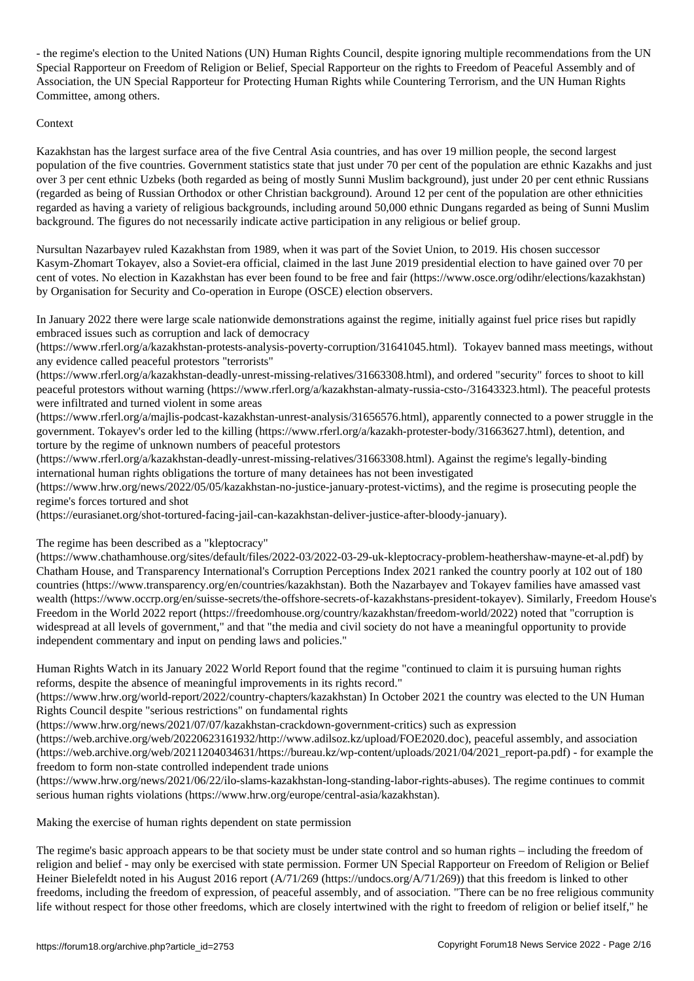- the regimeters (UN) Human Rights Council, despite ignoring multiple recommendations  $\mathcal{U}(\mathcal{A})$ Special Rapporteur on Freedom of Religion or Belief, Special Rapporteur on the rights to Freedom of Peaceful Assembly and of Association, the UN Special Rapporteur for Protecting Human Rights while Countering Terrorism, and the UN Human Rights Committee, among others.

## Context

Kazakhstan has the largest surface area of the five Central Asia countries, and has over 19 million people, the second largest population of the five countries. Government statistics state that just under 70 per cent of the population are ethnic Kazakhs and just over 3 per cent ethnic Uzbeks (both regarded as being of mostly Sunni Muslim background), just under 20 per cent ethnic Russians (regarded as being of Russian Orthodox or other Christian background). Around 12 per cent of the population are other ethnicities regarded as having a variety of religious backgrounds, including around 50,000 ethnic Dungans regarded as being of Sunni Muslim background. The figures do not necessarily indicate active participation in any religious or belief group.

Nursultan Nazarbayev ruled Kazakhstan from 1989, when it was part of the Soviet Union, to 2019. His chosen successor Kasym-Zhomart Tokayev, also a Soviet-era official, claimed in the last June 2019 presidential election to have gained over 70 per cent of votes. No election in Kazakhstan has ever been found to be free and fair (https://www.osce.org/odihr/elections/kazakhstan) by Organisation for Security and Co-operation in Europe (OSCE) election observers.

In January 2022 there were large scale nationwide demonstrations against the regime, initially against fuel price rises but rapidly embraced issues such as corruption and lack of democracy

(https://www.rferl.org/a/kazakhstan-protests-analysis-poverty-corruption/31641045.html). Tokayev banned mass meetings, without any evidence called peaceful protestors "terrorists"

(https://www.rferl.org/a/kazakhstan-deadly-unrest-missing-relatives/31663308.html), and ordered "security" forces to shoot to kill peaceful protestors without warning (https://www.rferl.org/a/kazakhstan-almaty-russia-csto-/31643323.html). The peaceful protests were infiltrated and turned violent in some areas

(https://www.rferl.org/a/majlis-podcast-kazakhstan-unrest-analysis/31656576.html), apparently connected to a power struggle in the government. Tokayev's order led to the killing (https://www.rferl.org/a/kazakh-protester-body/31663627.html), detention, and torture by the regime of unknown numbers of peaceful protestors

(https://www.rferl.org/a/kazakhstan-deadly-unrest-missing-relatives/31663308.html). Against the regime's legally-binding international human rights obligations the torture of many detainees has not been investigated

(https://www.hrw.org/news/2022/05/05/kazakhstan-no-justice-january-protest-victims), and the regime is prosecuting people the regime's forces tortured and shot

(https://eurasianet.org/shot-tortured-facing-jail-can-kazakhstan-deliver-justice-after-bloody-january).

The regime has been described as a "kleptocracy"

(https://www.chathamhouse.org/sites/default/files/2022-03/2022-03-29-uk-kleptocracy-problem-heathershaw-mayne-et-al.pdf) by Chatham House, and Transparency International's Corruption Perceptions Index 2021 ranked the country poorly at 102 out of 180 countries (https://www.transparency.org/en/countries/kazakhstan). Both the Nazarbayev and Tokayev families have amassed vast wealth (https://www.occrp.org/en/suisse-secrets/the-offshore-secrets-of-kazakhstans-president-tokayev). Similarly, Freedom House's Freedom in the World 2022 report (https://freedomhouse.org/country/kazakhstan/freedom-world/2022) noted that "corruption is widespread at all levels of government," and that "the media and civil society do not have a meaningful opportunity to provide independent commentary and input on pending laws and policies."

Human Rights Watch in its January 2022 World Report found that the regime "continued to claim it is pursuing human rights reforms, despite the absence of meaningful improvements in its rights record."

(https://www.hrw.org/world-report/2022/country-chapters/kazakhstan) In October 2021 the country was elected to the UN Human Rights Council despite "serious restrictions" on fundamental rights

(https://www.hrw.org/news/2021/07/07/kazakhstan-crackdown-government-critics) such as expression

(https://web.archive.org/web/20220623161932/http://www.adilsoz.kz/upload/FOE2020.doc), peaceful assembly, and association (https://web.archive.org/web/20211204034631/https://bureau.kz/wp-content/uploads/2021/04/2021\_report-pa.pdf) - for example the freedom to form non-state controlled independent trade unions

(https://www.hrw.org/news/2021/06/22/ilo-slams-kazakhstan-long-standing-labor-rights-abuses). The regime continues to commit serious human rights violations (https://www.hrw.org/europe/central-asia/kazakhstan).

Making the exercise of human rights dependent on state permission

The regime's basic approach appears to be that society must be under state control and so human rights – including the freedom of religion and belief - may only be exercised with state permission. Former UN Special Rapporteur on Freedom of Religion or Belief Heiner Bielefeldt noted in his August 2016 report (A/71/269 (https://undocs.org/A/71/269)) that this freedom is linked to other freedoms, including the freedom of expression, of peaceful assembly, and of association. "There can be no free religious community life without respect for those other freedoms, which are closely intertwined with the right to freedom of religion or belief itself," he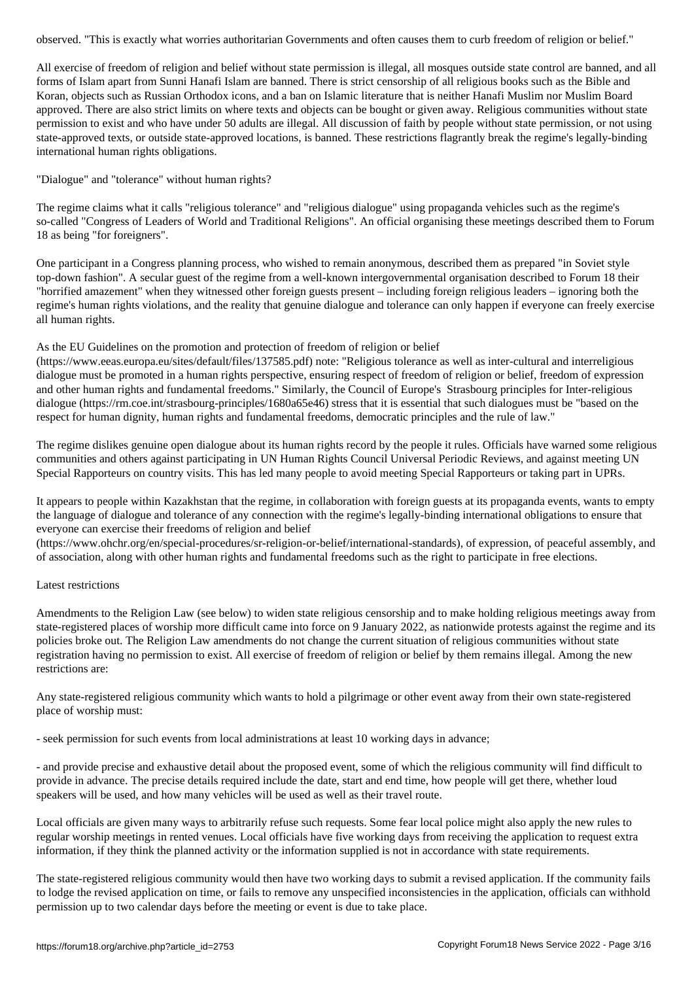All exercise of freedom of religion and belief without state permission is illegal, all mosques outside state control are banned, and all forms of Islam apart from Sunni Hanafi Islam are banned. There is strict censorship of all religious books such as the Bible and Koran, objects such as Russian Orthodox icons, and a ban on Islamic literature that is neither Hanafi Muslim nor Muslim Board approved. There are also strict limits on where texts and objects can be bought or given away. Religious communities without state permission to exist and who have under 50 adults are illegal. All discussion of faith by people without state permission, or not using state-approved texts, or outside state-approved locations, is banned. These restrictions flagrantly break the regime's legally-binding international human rights obligations.

"Dialogue" and "tolerance" without human rights?

The regime claims what it calls "religious tolerance" and "religious dialogue" using propaganda vehicles such as the regime's so-called "Congress of Leaders of World and Traditional Religions". An official organising these meetings described them to Forum 18 as being "for foreigners".

One participant in a Congress planning process, who wished to remain anonymous, described them as prepared "in Soviet style top-down fashion". A secular guest of the regime from a well-known intergovernmental organisation described to Forum 18 their "horrified amazement" when they witnessed other foreign guests present – including foreign religious leaders – ignoring both the regime's human rights violations, and the reality that genuine dialogue and tolerance can only happen if everyone can freely exercise all human rights.

# As the EU Guidelines on the promotion and protection of freedom of religion or belief

(https://www.eeas.europa.eu/sites/default/files/137585.pdf) note: "Religious tolerance as well as inter-cultural and interreligious dialogue must be promoted in a human rights perspective, ensuring respect of freedom of religion or belief, freedom of expression and other human rights and fundamental freedoms." Similarly, the Council of Europe's Strasbourg principles for Inter-religious dialogue (https://rm.coe.int/strasbourg-principles/1680a65e46) stress that it is essential that such dialogues must be "based on the respect for human dignity, human rights and fundamental freedoms, democratic principles and the rule of law."

The regime dislikes genuine open dialogue about its human rights record by the people it rules. Officials have warned some religious communities and others against participating in UN Human Rights Council Universal Periodic Reviews, and against meeting UN Special Rapporteurs on country visits. This has led many people to avoid meeting Special Rapporteurs or taking part in UPRs.

It appears to people within Kazakhstan that the regime, in collaboration with foreign guests at its propaganda events, wants to empty the language of dialogue and tolerance of any connection with the regime's legally-binding international obligations to ensure that everyone can exercise their freedoms of religion and belief

(https://www.ohchr.org/en/special-procedures/sr-religion-or-belief/international-standards), of expression, of peaceful assembly, and of association, along with other human rights and fundamental freedoms such as the right to participate in free elections.

## Latest restrictions

Amendments to the Religion Law (see below) to widen state religious censorship and to make holding religious meetings away from state-registered places of worship more difficult came into force on 9 January 2022, as nationwide protests against the regime and its policies broke out. The Religion Law amendments do not change the current situation of religious communities without state registration having no permission to exist. All exercise of freedom of religion or belief by them remains illegal. Among the new restrictions are:

Any state-registered religious community which wants to hold a pilgrimage or other event away from their own state-registered place of worship must:

- seek permission for such events from local administrations at least 10 working days in advance;

- and provide precise and exhaustive detail about the proposed event, some of which the religious community will find difficult to provide in advance. The precise details required include the date, start and end time, how people will get there, whether loud speakers will be used, and how many vehicles will be used as well as their travel route.

Local officials are given many ways to arbitrarily refuse such requests. Some fear local police might also apply the new rules to regular worship meetings in rented venues. Local officials have five working days from receiving the application to request extra information, if they think the planned activity or the information supplied is not in accordance with state requirements.

The state-registered religious community would then have two working days to submit a revised application. If the community fails to lodge the revised application on time, or fails to remove any unspecified inconsistencies in the application, officials can withhold permission up to two calendar days before the meeting or event is due to take place.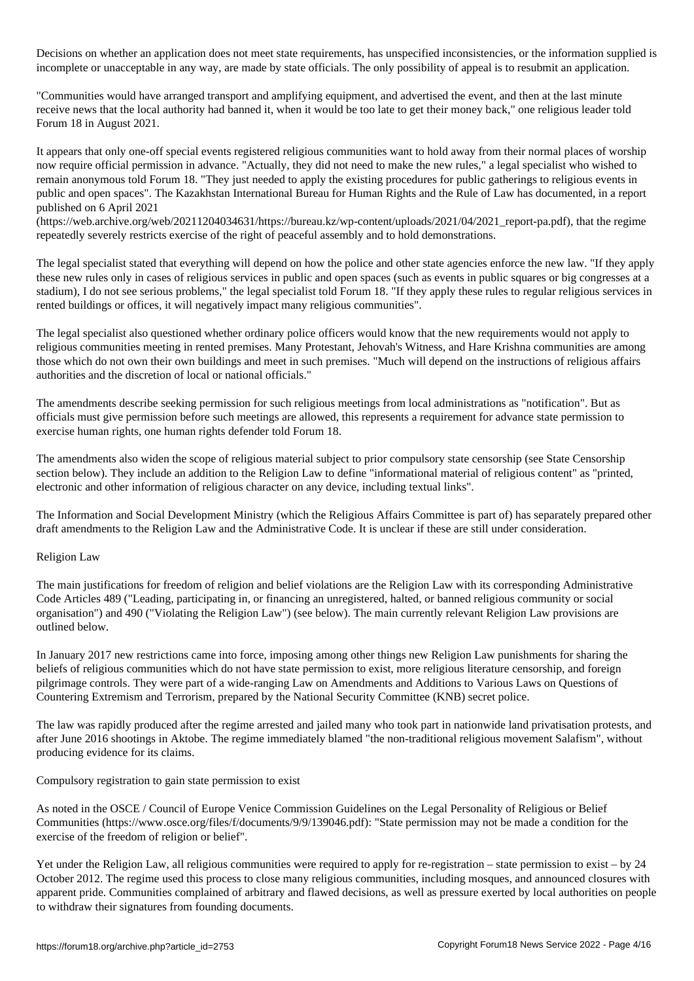. There are an application does not meet state requirements, has unspecified inconsistencies,  $\mathbf{r}$ incomplete or unacceptable in any way, are made by state officials. The only possibility of appeal is to resubmit an application.

"Communities would have arranged transport and amplifying equipment, and advertised the event, and then at the last minute receive news that the local authority had banned it, when it would be too late to get their money back," one religious leader told Forum 18 in August 2021.

It appears that only one-off special events registered religious communities want to hold away from their normal places of worship now require official permission in advance. "Actually, they did not need to make the new rules," a legal specialist who wished to remain anonymous told Forum 18. "They just needed to apply the existing procedures for public gatherings to religious events in public and open spaces". The Kazakhstan International Bureau for Human Rights and the Rule of Law has documented, in a report published on 6 April 2021

(https://web.archive.org/web/20211204034631/https://bureau.kz/wp-content/uploads/2021/04/2021\_report-pa.pdf), that the regime repeatedly severely restricts exercise of the right of peaceful assembly and to hold demonstrations.

The legal specialist stated that everything will depend on how the police and other state agencies enforce the new law. "If they apply these new rules only in cases of religious services in public and open spaces (such as events in public squares or big congresses at a stadium), I do not see serious problems," the legal specialist told Forum 18. "If they apply these rules to regular religious services in rented buildings or offices, it will negatively impact many religious communities".

The legal specialist also questioned whether ordinary police officers would know that the new requirements would not apply to religious communities meeting in rented premises. Many Protestant, Jehovah's Witness, and Hare Krishna communities are among those which do not own their own buildings and meet in such premises. "Much will depend on the instructions of religious affairs authorities and the discretion of local or national officials."

The amendments describe seeking permission for such religious meetings from local administrations as "notification". But as officials must give permission before such meetings are allowed, this represents a requirement for advance state permission to exercise human rights, one human rights defender told Forum 18.

The amendments also widen the scope of religious material subject to prior compulsory state censorship (see State Censorship section below). They include an addition to the Religion Law to define "informational material of religious content" as "printed, electronic and other information of religious character on any device, including textual links".

The Information and Social Development Ministry (which the Religious Affairs Committee is part of) has separately prepared other draft amendments to the Religion Law and the Administrative Code. It is unclear if these are still under consideration.

## Religion Law

The main justifications for freedom of religion and belief violations are the Religion Law with its corresponding Administrative Code Articles 489 ("Leading, participating in, or financing an unregistered, halted, or banned religious community or social organisation") and 490 ("Violating the Religion Law") (see below). The main currently relevant Religion Law provisions are outlined below.

In January 2017 new restrictions came into force, imposing among other things new Religion Law punishments for sharing the beliefs of religious communities which do not have state permission to exist, more religious literature censorship, and foreign pilgrimage controls. They were part of a wide-ranging Law on Amendments and Additions to Various Laws on Questions of Countering Extremism and Terrorism, prepared by the National Security Committee (KNB) secret police.

The law was rapidly produced after the regime arrested and jailed many who took part in nationwide land privatisation protests, and after June 2016 shootings in Aktobe. The regime immediately blamed "the non-traditional religious movement Salafism", without producing evidence for its claims.

Compulsory registration to gain state permission to exist

As noted in the OSCE / Council of Europe Venice Commission Guidelines on the Legal Personality of Religious or Belief Communities (https://www.osce.org/files/f/documents/9/9/139046.pdf): "State permission may not be made a condition for the exercise of the freedom of religion or belief".

Yet under the Religion Law, all religious communities were required to apply for re-registration – state permission to exist – by 24 October 2012. The regime used this process to close many religious communities, including mosques, and announced closures with apparent pride. Communities complained of arbitrary and flawed decisions, as well as pressure exerted by local authorities on people to withdraw their signatures from founding documents.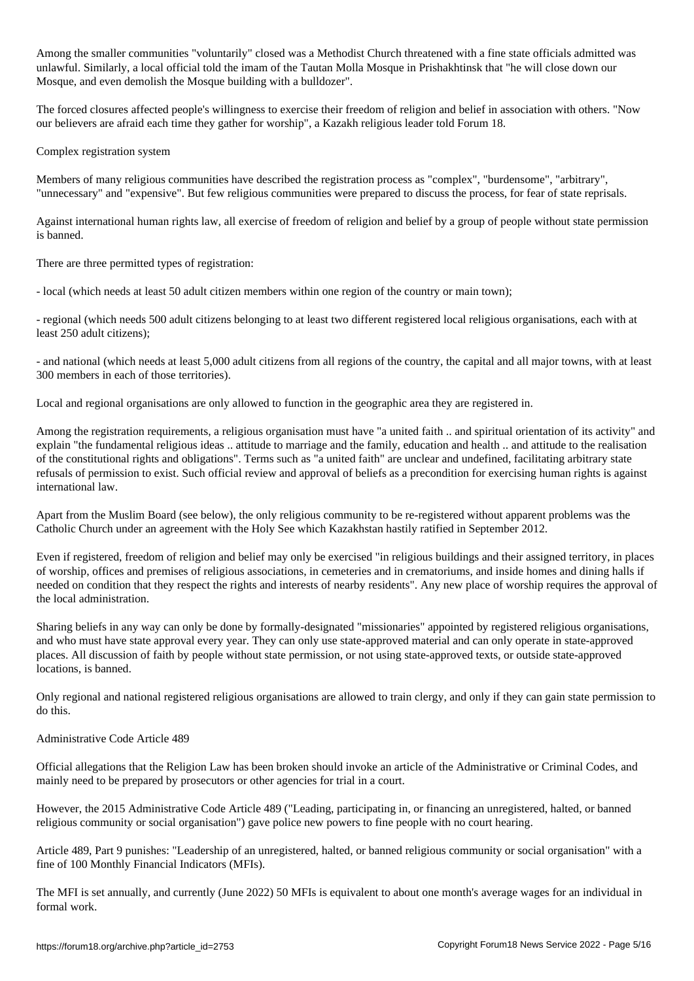$\mathcal C$  volume  $\mathcal C$  voluntarily communities to  $\mathcal C$  and the fine state of  $\mathcal C$ unlawful. Similarly, a local official told the imam of the Tautan Molla Mosque in Prishakhtinsk that "he will close down our Mosque, and even demolish the Mosque building with a bulldozer".

The forced closures affected people's willingness to exercise their freedom of religion and belief in association with others. "Now our believers are afraid each time they gather for worship", a Kazakh religious leader told Forum 18.

Complex registration system

Members of many religious communities have described the registration process as "complex", "burdensome", "arbitrary", "unnecessary" and "expensive". But few religious communities were prepared to discuss the process, for fear of state reprisals.

Against international human rights law, all exercise of freedom of religion and belief by a group of people without state permission is banned.

There are three permitted types of registration:

- local (which needs at least 50 adult citizen members within one region of the country or main town);

- regional (which needs 500 adult citizens belonging to at least two different registered local religious organisations, each with at least 250 adult citizens);

- and national (which needs at least 5,000 adult citizens from all regions of the country, the capital and all major towns, with at least 300 members in each of those territories).

Local and regional organisations are only allowed to function in the geographic area they are registered in.

Among the registration requirements, a religious organisation must have "a united faith .. and spiritual orientation of its activity" and explain "the fundamental religious ideas .. attitude to marriage and the family, education and health .. and attitude to the realisation of the constitutional rights and obligations". Terms such as "a united faith" are unclear and undefined, facilitating arbitrary state refusals of permission to exist. Such official review and approval of beliefs as a precondition for exercising human rights is against international law.

Apart from the Muslim Board (see below), the only religious community to be re-registered without apparent problems was the Catholic Church under an agreement with the Holy See which Kazakhstan hastily ratified in September 2012.

Even if registered, freedom of religion and belief may only be exercised "in religious buildings and their assigned territory, in places of worship, offices and premises of religious associations, in cemeteries and in crematoriums, and inside homes and dining halls if needed on condition that they respect the rights and interests of nearby residents". Any new place of worship requires the approval of the local administration.

Sharing beliefs in any way can only be done by formally-designated "missionaries" appointed by registered religious organisations, and who must have state approval every year. They can only use state-approved material and can only operate in state-approved places. All discussion of faith by people without state permission, or not using state-approved texts, or outside state-approved locations, is banned.

Only regional and national registered religious organisations are allowed to train clergy, and only if they can gain state permission to do this.

Administrative Code Article 489

Official allegations that the Religion Law has been broken should invoke an article of the Administrative or Criminal Codes, and mainly need to be prepared by prosecutors or other agencies for trial in a court.

However, the 2015 Administrative Code Article 489 ("Leading, participating in, or financing an unregistered, halted, or banned religious community or social organisation") gave police new powers to fine people with no court hearing.

Article 489, Part 9 punishes: "Leadership of an unregistered, halted, or banned religious community or social organisation" with a fine of 100 Monthly Financial Indicators (MFIs).

The MFI is set annually, and currently (June 2022) 50 MFIs is equivalent to about one month's average wages for an individual in formal work.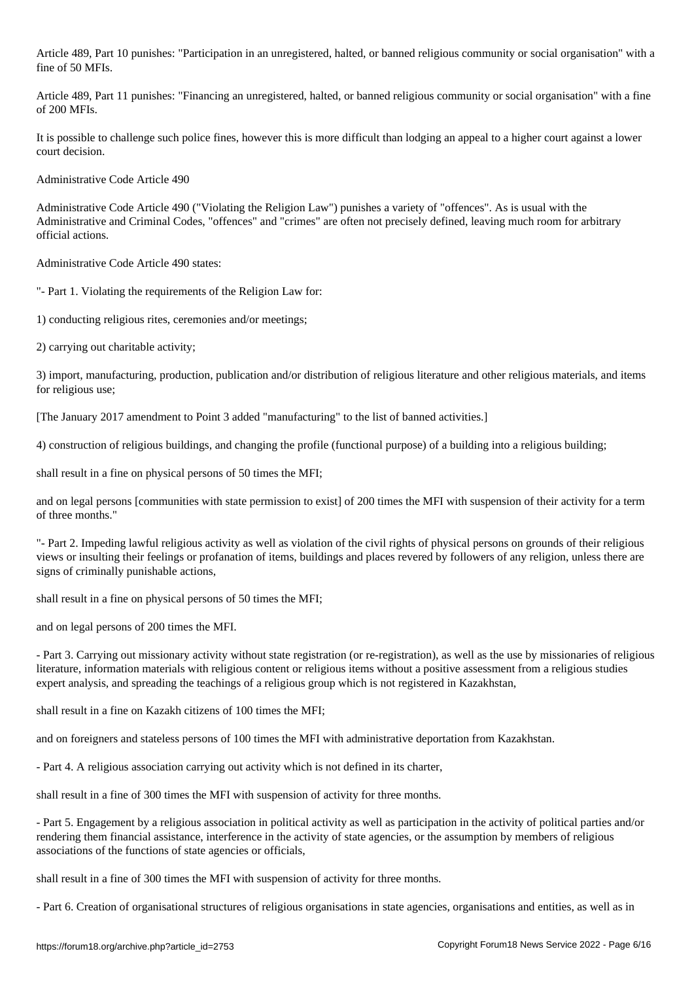Article 489, Part 10 punishes: "Participation in an unregistered, halted, or banned religious community or social organisation" with a fine of 50 MFIs.

Article 489, Part 11 punishes: "Financing an unregistered, halted, or banned religious community or social organisation" with a fine of 200 MFIs.

It is possible to challenge such police fines, however this is more difficult than lodging an appeal to a higher court against a lower court decision.

Administrative Code Article 490

Administrative Code Article 490 ("Violating the Religion Law") punishes a variety of "offences". As is usual with the Administrative and Criminal Codes, "offences" and "crimes" are often not precisely defined, leaving much room for arbitrary official actions.

Administrative Code Article 490 states:

"- Part 1. Violating the requirements of the Religion Law for:

1) conducting religious rites, ceremonies and/or meetings;

2) carrying out charitable activity;

3) import, manufacturing, production, publication and/or distribution of religious literature and other religious materials, and items for religious use;

[The January 2017 amendment to Point 3 added "manufacturing" to the list of banned activities.]

4) construction of religious buildings, and changing the profile (functional purpose) of a building into a religious building;

shall result in a fine on physical persons of 50 times the MFI;

and on legal persons [communities with state permission to exist] of 200 times the MFI with suspension of their activity for a term of three months."

"- Part 2. Impeding lawful religious activity as well as violation of the civil rights of physical persons on grounds of their religious views or insulting their feelings or profanation of items, buildings and places revered by followers of any religion, unless there are signs of criminally punishable actions,

shall result in a fine on physical persons of 50 times the MFI;

and on legal persons of 200 times the MFI.

- Part 3. Carrying out missionary activity without state registration (or re-registration), as well as the use by missionaries of religious literature, information materials with religious content or religious items without a positive assessment from a religious studies expert analysis, and spreading the teachings of a religious group which is not registered in Kazakhstan,

shall result in a fine on Kazakh citizens of 100 times the MFI;

and on foreigners and stateless persons of 100 times the MFI with administrative deportation from Kazakhstan.

- Part 4. A religious association carrying out activity which is not defined in its charter,

shall result in a fine of 300 times the MFI with suspension of activity for three months.

- Part 5. Engagement by a religious association in political activity as well as participation in the activity of political parties and/or rendering them financial assistance, interference in the activity of state agencies, or the assumption by members of religious associations of the functions of state agencies or officials,

shall result in a fine of 300 times the MFI with suspension of activity for three months.

- Part 6. Creation of organisational structures of religious organisations in state agencies, organisations and entities, as well as in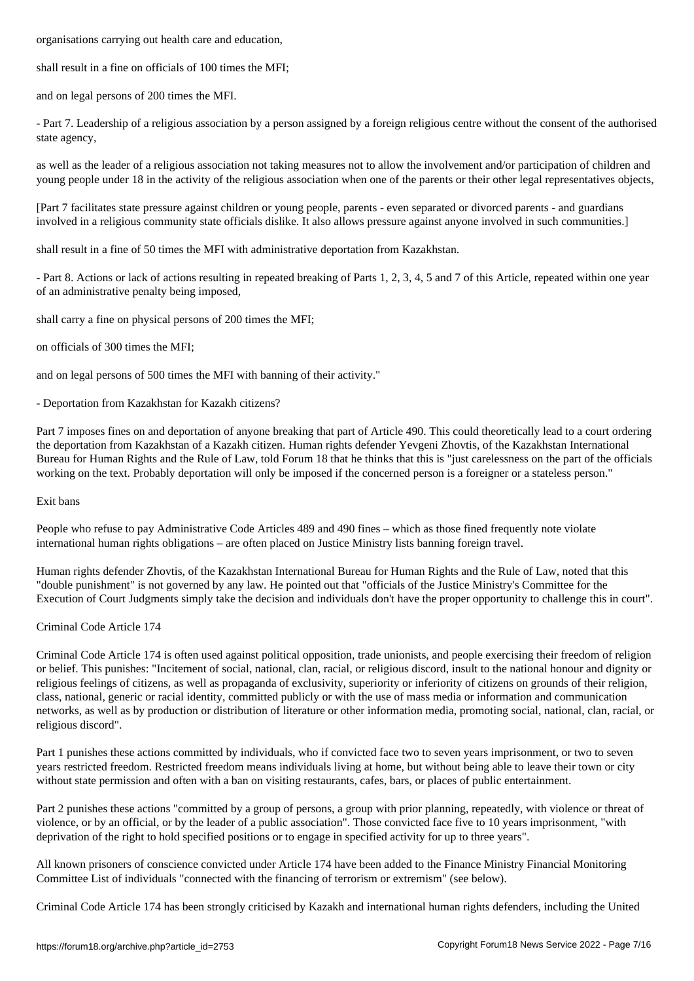shall result in a fine on officials of 100 times the MFI;

and on legal persons of 200 times the MFI.

- Part 7. Leadership of a religious association by a person assigned by a foreign religious centre without the consent of the authorised state agency,

as well as the leader of a religious association not taking measures not to allow the involvement and/or participation of children and young people under 18 in the activity of the religious association when one of the parents or their other legal representatives objects,

[Part 7 facilitates state pressure against children or young people, parents - even separated or divorced parents - and guardians involved in a religious community state officials dislike. It also allows pressure against anyone involved in such communities.]

shall result in a fine of 50 times the MFI with administrative deportation from Kazakhstan.

- Part 8. Actions or lack of actions resulting in repeated breaking of Parts 1, 2, 3, 4, 5 and 7 of this Article, repeated within one year of an administrative penalty being imposed,

shall carry a fine on physical persons of 200 times the MFI;

on officials of 300 times the MFI;

and on legal persons of 500 times the MFI with banning of their activity."

- Deportation from Kazakhstan for Kazakh citizens?

Part 7 imposes fines on and deportation of anyone breaking that part of Article 490. This could theoretically lead to a court ordering the deportation from Kazakhstan of a Kazakh citizen. Human rights defender Yevgeni Zhovtis, of the Kazakhstan International Bureau for Human Rights and the Rule of Law, told Forum 18 that he thinks that this is "just carelessness on the part of the officials working on the text. Probably deportation will only be imposed if the concerned person is a foreigner or a stateless person."

### Exit bans

People who refuse to pay Administrative Code Articles 489 and 490 fines – which as those fined frequently note violate international human rights obligations – are often placed on Justice Ministry lists banning foreign travel.

Human rights defender Zhovtis, of the Kazakhstan International Bureau for Human Rights and the Rule of Law, noted that this "double punishment" is not governed by any law. He pointed out that "officials of the Justice Ministry's Committee for the Execution of Court Judgments simply take the decision and individuals don't have the proper opportunity to challenge this in court".

## Criminal Code Article 174

Criminal Code Article 174 is often used against political opposition, trade unionists, and people exercising their freedom of religion or belief. This punishes: "Incitement of social, national, clan, racial, or religious discord, insult to the national honour and dignity or religious feelings of citizens, as well as propaganda of exclusivity, superiority or inferiority of citizens on grounds of their religion, class, national, generic or racial identity, committed publicly or with the use of mass media or information and communication networks, as well as by production or distribution of literature or other information media, promoting social, national, clan, racial, or religious discord".

Part 1 punishes these actions committed by individuals, who if convicted face two to seven years imprisonment, or two to seven years restricted freedom. Restricted freedom means individuals living at home, but without being able to leave their town or city without state permission and often with a ban on visiting restaurants, cafes, bars, or places of public entertainment.

Part 2 punishes these actions "committed by a group of persons, a group with prior planning, repeatedly, with violence or threat of violence, or by an official, or by the leader of a public association". Those convicted face five to 10 years imprisonment, "with deprivation of the right to hold specified positions or to engage in specified activity for up to three years".

All known prisoners of conscience convicted under Article 174 have been added to the Finance Ministry Financial Monitoring Committee List of individuals "connected with the financing of terrorism or extremism" (see below).

Criminal Code Article 174 has been strongly criticised by Kazakh and international human rights defenders, including the United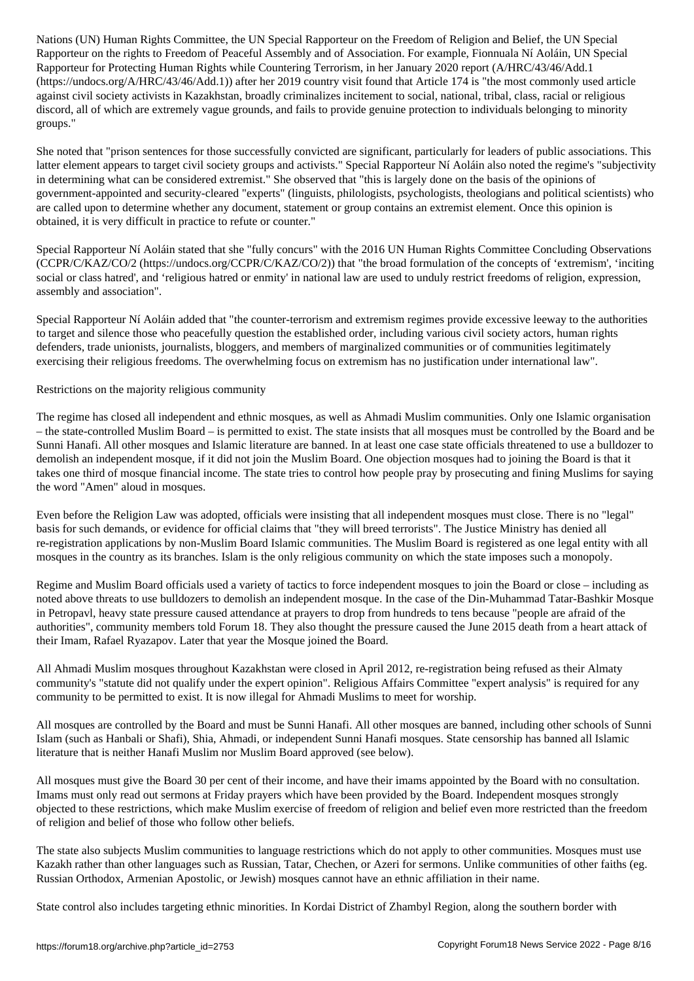Rapporteur on the rights to Freedom of Peaceful Assembly and of Association. For example, Fionnuala Ní Aoláin, UN Special Rapporteur for Protecting Human Rights while Countering Terrorism, in her January 2020 report (A/HRC/43/46/Add.1 (https://undocs.org/A/HRC/43/46/Add.1)) after her 2019 country visit found that Article 174 is "the most commonly used article against civil society activists in Kazakhstan, broadly criminalizes incitement to social, national, tribal, class, racial or religious discord, all of which are extremely vague grounds, and fails to provide genuine protection to individuals belonging to minority groups."

She noted that "prison sentences for those successfully convicted are significant, particularly for leaders of public associations. This latter element appears to target civil society groups and activists." Special Rapporteur Ní Aoláin also noted the regime's "subjectivity in determining what can be considered extremist." She observed that "this is largely done on the basis of the opinions of government-appointed and security-cleared "experts" (linguists, philologists, psychologists, theologians and political scientists) who are called upon to determine whether any document, statement or group contains an extremist element. Once this opinion is obtained, it is very difficult in practice to refute or counter."

Special Rapporteur Ní Aoláin stated that she "fully concurs" with the 2016 UN Human Rights Committee Concluding Observations (CCPR/C/KAZ/CO/2 (https://undocs.org/CCPR/C/KAZ/CO/2)) that "the broad formulation of the concepts of 'extremism', 'inciting social or class hatred', and 'religious hatred or enmity' in national law are used to unduly restrict freedoms of religion, expression, assembly and association".

Special Rapporteur Ní Aoláin added that "the counter-terrorism and extremism regimes provide excessive leeway to the authorities to target and silence those who peacefully question the established order, including various civil society actors, human rights defenders, trade unionists, journalists, bloggers, and members of marginalized communities or of communities legitimately exercising their religious freedoms. The overwhelming focus on extremism has no justification under international law".

Restrictions on the majority religious community

The regime has closed all independent and ethnic mosques, as well as Ahmadi Muslim communities. Only one Islamic organisation – the state-controlled Muslim Board – is permitted to exist. The state insists that all mosques must be controlled by the Board and be Sunni Hanafi. All other mosques and Islamic literature are banned. In at least one case state officials threatened to use a bulldozer to demolish an independent mosque, if it did not join the Muslim Board. One objection mosques had to joining the Board is that it takes one third of mosque financial income. The state tries to control how people pray by prosecuting and fining Muslims for saying the word "Amen" aloud in mosques.

Even before the Religion Law was adopted, officials were insisting that all independent mosques must close. There is no "legal" basis for such demands, or evidence for official claims that "they will breed terrorists". The Justice Ministry has denied all re-registration applications by non-Muslim Board Islamic communities. The Muslim Board is registered as one legal entity with all mosques in the country as its branches. Islam is the only religious community on which the state imposes such a monopoly.

Regime and Muslim Board officials used a variety of tactics to force independent mosques to join the Board or close – including as noted above threats to use bulldozers to demolish an independent mosque. In the case of the Din-Muhammad Tatar-Bashkir Mosque in Petropavl, heavy state pressure caused attendance at prayers to drop from hundreds to tens because "people are afraid of the authorities", community members told Forum 18. They also thought the pressure caused the June 2015 death from a heart attack of their Imam, Rafael Ryazapov. Later that year the Mosque joined the Board.

All Ahmadi Muslim mosques throughout Kazakhstan were closed in April 2012, re-registration being refused as their Almaty community's "statute did not qualify under the expert opinion". Religious Affairs Committee "expert analysis" is required for any community to be permitted to exist. It is now illegal for Ahmadi Muslims to meet for worship.

All mosques are controlled by the Board and must be Sunni Hanafi. All other mosques are banned, including other schools of Sunni Islam (such as Hanbali or Shafi), Shia, Ahmadi, or independent Sunni Hanafi mosques. State censorship has banned all Islamic literature that is neither Hanafi Muslim nor Muslim Board approved (see below).

All mosques must give the Board 30 per cent of their income, and have their imams appointed by the Board with no consultation. Imams must only read out sermons at Friday prayers which have been provided by the Board. Independent mosques strongly objected to these restrictions, which make Muslim exercise of freedom of religion and belief even more restricted than the freedom of religion and belief of those who follow other beliefs.

The state also subjects Muslim communities to language restrictions which do not apply to other communities. Mosques must use Kazakh rather than other languages such as Russian, Tatar, Chechen, or Azeri for sermons. Unlike communities of other faiths (eg. Russian Orthodox, Armenian Apostolic, or Jewish) mosques cannot have an ethnic affiliation in their name.

State control also includes targeting ethnic minorities. In Kordai District of Zhambyl Region, along the southern border with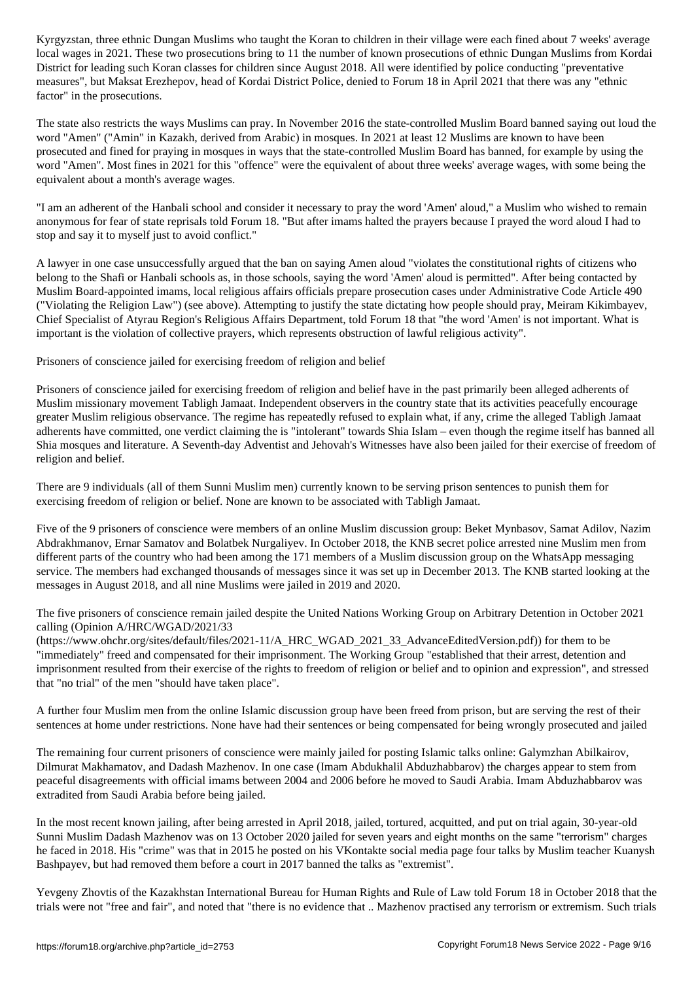local wages in 2021. These two prosecutions bring to 11 the number of known prosecutions of ethnic Dungan Muslims from Kordai District for leading such Koran classes for children since August 2018. All were identified by police conducting "preventative measures", but Maksat Erezhepov, head of Kordai District Police, denied to Forum 18 in April 2021 that there was any "ethnic factor" in the prosecutions.

The state also restricts the ways Muslims can pray. In November 2016 the state-controlled Muslim Board banned saying out loud the word "Amen" ("Amin" in Kazakh, derived from Arabic) in mosques. In 2021 at least 12 Muslims are known to have been prosecuted and fined for praying in mosques in ways that the state-controlled Muslim Board has banned, for example by using the word "Amen". Most fines in 2021 for this "offence" were the equivalent of about three weeks' average wages, with some being the equivalent about a month's average wages.

"I am an adherent of the Hanbali school and consider it necessary to pray the word 'Amen' aloud," a Muslim who wished to remain anonymous for fear of state reprisals told Forum 18. "But after imams halted the prayers because I prayed the word aloud I had to stop and say it to myself just to avoid conflict."

A lawyer in one case unsuccessfully argued that the ban on saying Amen aloud "violates the constitutional rights of citizens who belong to the Shafi or Hanbali schools as, in those schools, saying the word 'Amen' aloud is permitted". After being contacted by Muslim Board-appointed imams, local religious affairs officials prepare prosecution cases under Administrative Code Article 490 ("Violating the Religion Law") (see above). Attempting to justify the state dictating how people should pray, Meiram Kikimbayev, Chief Specialist of Atyrau Region's Religious Affairs Department, told Forum 18 that "the word 'Amen' is not important. What is important is the violation of collective prayers, which represents obstruction of lawful religious activity".

Prisoners of conscience jailed for exercising freedom of religion and belief

Prisoners of conscience jailed for exercising freedom of religion and belief have in the past primarily been alleged adherents of Muslim missionary movement Tabligh Jamaat. Independent observers in the country state that its activities peacefully encourage greater Muslim religious observance. The regime has repeatedly refused to explain what, if any, crime the alleged Tabligh Jamaat adherents have committed, one verdict claiming the is "intolerant" towards Shia Islam – even though the regime itself has banned all Shia mosques and literature. A Seventh-day Adventist and Jehovah's Witnesses have also been jailed for their exercise of freedom of religion and belief.

There are 9 individuals (all of them Sunni Muslim men) currently known to be serving prison sentences to punish them for exercising freedom of religion or belief. None are known to be associated with Tabligh Jamaat.

Five of the 9 prisoners of conscience were members of an online Muslim discussion group: Beket Mynbasov, Samat Adilov, Nazim Abdrakhmanov, Ernar Samatov and Bolatbek Nurgaliyev. In October 2018, the KNB secret police arrested nine Muslim men from different parts of the country who had been among the 171 members of a Muslim discussion group on the WhatsApp messaging service. The members had exchanged thousands of messages since it was set up in December 2013. The KNB started looking at the messages in August 2018, and all nine Muslims were jailed in 2019 and 2020.

The five prisoners of conscience remain jailed despite the United Nations Working Group on Arbitrary Detention in October 2021 calling (Opinion A/HRC/WGAD/2021/33

(https://www.ohchr.org/sites/default/files/2021-11/A\_HRC\_WGAD\_2021\_33\_AdvanceEditedVersion.pdf)) for them to be "immediately" freed and compensated for their imprisonment. The Working Group "established that their arrest, detention and imprisonment resulted from their exercise of the rights to freedom of religion or belief and to opinion and expression", and stressed that "no trial" of the men "should have taken place".

A further four Muslim men from the online Islamic discussion group have been freed from prison, but are serving the rest of their sentences at home under restrictions. None have had their sentences or being compensated for being wrongly prosecuted and jailed

The remaining four current prisoners of conscience were mainly jailed for posting Islamic talks online: Galymzhan Abilkairov, Dilmurat Makhamatov, and Dadash Mazhenov. In one case (Imam Abdukhalil Abduzhabbarov) the charges appear to stem from peaceful disagreements with official imams between 2004 and 2006 before he moved to Saudi Arabia. Imam Abduzhabbarov was extradited from Saudi Arabia before being jailed.

In the most recent known jailing, after being arrested in April 2018, jailed, tortured, acquitted, and put on trial again, 30-year-old Sunni Muslim Dadash Mazhenov was on 13 October 2020 jailed for seven years and eight months on the same "terrorism" charges he faced in 2018. His "crime" was that in 2015 he posted on his VKontakte social media page four talks by Muslim teacher Kuanysh Bashpayev, but had removed them before a court in 2017 banned the talks as "extremist".

Yevgeny Zhovtis of the Kazakhstan International Bureau for Human Rights and Rule of Law told Forum 18 in October 2018 that the trials were not "free and fair", and noted that "there is no evidence that .. Mazhenov practised any terrorism or extremism. Such trials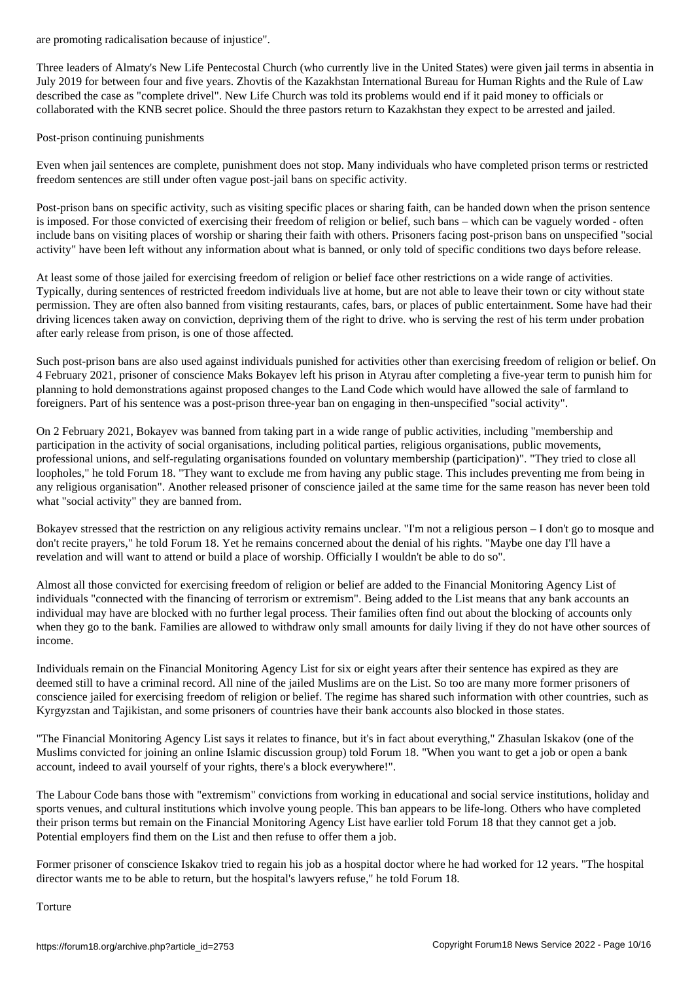Three leaders of Almaty's New Life Pentecostal Church (who currently live in the United States) were given jail terms in absentia in July 2019 for between four and five years. Zhovtis of the Kazakhstan International Bureau for Human Rights and the Rule of Law described the case as "complete drivel". New Life Church was told its problems would end if it paid money to officials or collaborated with the KNB secret police. Should the three pastors return to Kazakhstan they expect to be arrested and jailed.

## Post-prison continuing punishments

Even when jail sentences are complete, punishment does not stop. Many individuals who have completed prison terms or restricted freedom sentences are still under often vague post-jail bans on specific activity.

Post-prison bans on specific activity, such as visiting specific places or sharing faith, can be handed down when the prison sentence is imposed. For those convicted of exercising their freedom of religion or belief, such bans – which can be vaguely worded - often include bans on visiting places of worship or sharing their faith with others. Prisoners facing post-prison bans on unspecified "social activity" have been left without any information about what is banned, or only told of specific conditions two days before release.

At least some of those jailed for exercising freedom of religion or belief face other restrictions on a wide range of activities. Typically, during sentences of restricted freedom individuals live at home, but are not able to leave their town or city without state permission. They are often also banned from visiting restaurants, cafes, bars, or places of public entertainment. Some have had their driving licences taken away on conviction, depriving them of the right to drive. who is serving the rest of his term under probation after early release from prison, is one of those affected.

Such post-prison bans are also used against individuals punished for activities other than exercising freedom of religion or belief. On 4 February 2021, prisoner of conscience Maks Bokayev left his prison in Atyrau after completing a five-year term to punish him for planning to hold demonstrations against proposed changes to the Land Code which would have allowed the sale of farmland to foreigners. Part of his sentence was a post-prison three-year ban on engaging in then-unspecified "social activity".

On 2 February 2021, Bokayev was banned from taking part in a wide range of public activities, including "membership and participation in the activity of social organisations, including political parties, religious organisations, public movements, professional unions, and self-regulating organisations founded on voluntary membership (participation)". "They tried to close all loopholes," he told Forum 18. "They want to exclude me from having any public stage. This includes preventing me from being in any religious organisation". Another released prisoner of conscience jailed at the same time for the same reason has never been told what "social activity" they are banned from.

Bokayev stressed that the restriction on any religious activity remains unclear. "I'm not a religious person – I don't go to mosque and don't recite prayers," he told Forum 18. Yet he remains concerned about the denial of his rights. "Maybe one day I'll have a revelation and will want to attend or build a place of worship. Officially I wouldn't be able to do so".

Almost all those convicted for exercising freedom of religion or belief are added to the Financial Monitoring Agency List of individuals "connected with the financing of terrorism or extremism". Being added to the List means that any bank accounts an individual may have are blocked with no further legal process. Their families often find out about the blocking of accounts only when they go to the bank. Families are allowed to withdraw only small amounts for daily living if they do not have other sources of income.

Individuals remain on the Financial Monitoring Agency List for six or eight years after their sentence has expired as they are deemed still to have a criminal record. All nine of the jailed Muslims are on the List. So too are many more former prisoners of conscience jailed for exercising freedom of religion or belief. The regime has shared such information with other countries, such as Kyrgyzstan and Tajikistan, and some prisoners of countries have their bank accounts also blocked in those states.

"The Financial Monitoring Agency List says it relates to finance, but it's in fact about everything," Zhasulan Iskakov (one of the Muslims convicted for joining an online Islamic discussion group) told Forum 18. "When you want to get a job or open a bank account, indeed to avail yourself of your rights, there's a block everywhere!".

The Labour Code bans those with "extremism" convictions from working in educational and social service institutions, holiday and sports venues, and cultural institutions which involve young people. This ban appears to be life-long. Others who have completed their prison terms but remain on the Financial Monitoring Agency List have earlier told Forum 18 that they cannot get a job. Potential employers find them on the List and then refuse to offer them a job.

Former prisoner of conscience Iskakov tried to regain his job as a hospital doctor where he had worked for 12 years. "The hospital director wants me to be able to return, but the hospital's lawyers refuse," he told Forum 18.

Torture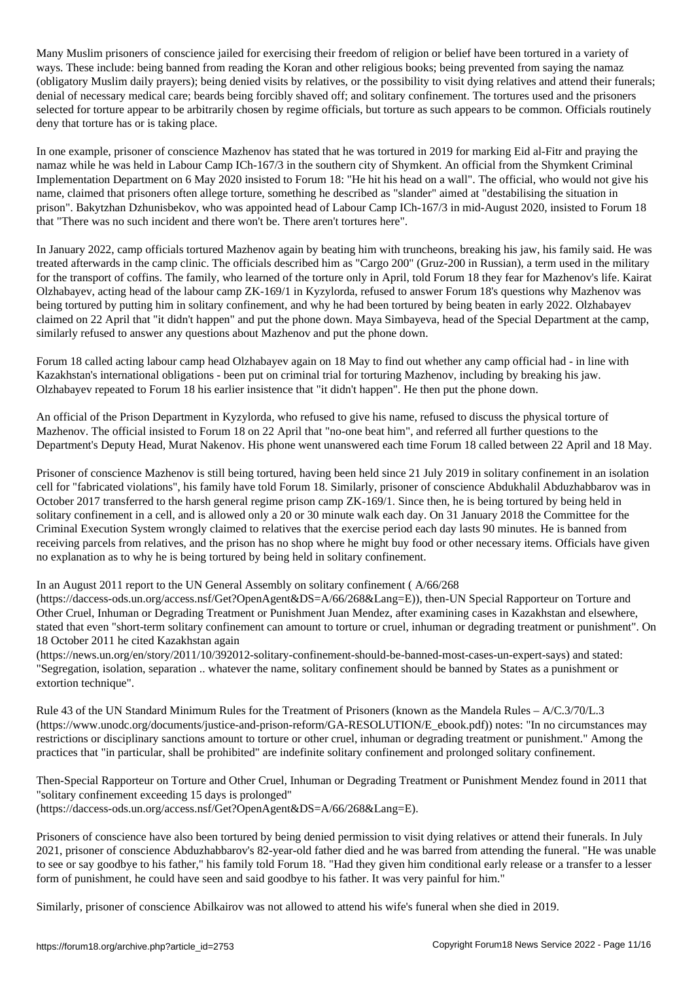Many Muslim prisoners of conscience jailed for exercising their freedom of religion or belief have been tortured in a variety of ways. These include: being banned from reading the Koran and other religious books; being prevented from saying the namaz (obligatory Muslim daily prayers); being denied visits by relatives, or the possibility to visit dying relatives and attend their funerals; denial of necessary medical care; beards being forcibly shaved off; and solitary confinement. The tortures used and the prisoners selected for torture appear to be arbitrarily chosen by regime officials, but torture as such appears to be common. Officials routinely deny that torture has or is taking place.

In one example, prisoner of conscience Mazhenov has stated that he was tortured in 2019 for marking Eid al-Fitr and praying the namaz while he was held in Labour Camp ICh-167/3 in the southern city of Shymkent. An official from the Shymkent Criminal Implementation Department on 6 May 2020 insisted to Forum 18: "He hit his head on a wall". The official, who would not give his name, claimed that prisoners often allege torture, something he described as "slander" aimed at "destabilising the situation in prison". Bakytzhan Dzhunisbekov, who was appointed head of Labour Camp ICh-167/3 in mid-August 2020, insisted to Forum 18 that "There was no such incident and there won't be. There aren't tortures here".

In January 2022, camp officials tortured Mazhenov again by beating him with truncheons, breaking his jaw, his family said. He was treated afterwards in the camp clinic. The officials described him as "Cargo 200" (Gruz-200 in Russian), a term used in the military for the transport of coffins. The family, who learned of the torture only in April, told Forum 18 they fear for Mazhenov's life. Kairat Olzhabayev, acting head of the labour camp ZK-169/1 in Kyzylorda, refused to answer Forum 18's questions why Mazhenov was being tortured by putting him in solitary confinement, and why he had been tortured by being beaten in early 2022. Olzhabayev claimed on 22 April that "it didn't happen" and put the phone down. Maya Simbayeva, head of the Special Department at the camp, similarly refused to answer any questions about Mazhenov and put the phone down.

Forum 18 called acting labour camp head Olzhabayev again on 18 May to find out whether any camp official had - in line with Kazakhstan's international obligations - been put on criminal trial for torturing Mazhenov, including by breaking his jaw. Olzhabayev repeated to Forum 18 his earlier insistence that "it didn't happen". He then put the phone down.

An official of the Prison Department in Kyzylorda, who refused to give his name, refused to discuss the physical torture of Mazhenov. The official insisted to Forum 18 on 22 April that "no-one beat him", and referred all further questions to the Department's Deputy Head, Murat Nakenov. His phone went unanswered each time Forum 18 called between 22 April and 18 May.

Prisoner of conscience Mazhenov is still being tortured, having been held since 21 July 2019 in solitary confinement in an isolation cell for "fabricated violations", his family have told Forum 18. Similarly, prisoner of conscience Abdukhalil Abduzhabbarov was in October 2017 transferred to the harsh general regime prison camp ZK-169/1. Since then, he is being tortured by being held in solitary confinement in a cell, and is allowed only a 20 or 30 minute walk each day. On 31 January 2018 the Committee for the Criminal Execution System wrongly claimed to relatives that the exercise period each day lasts 90 minutes. He is banned from receiving parcels from relatives, and the prison has no shop where he might buy food or other necessary items. Officials have given no explanation as to why he is being tortured by being held in solitary confinement.

## In an August 2011 report to the UN General Assembly on solitary confinement ( A/66/268

(https://daccess-ods.un.org/access.nsf/Get?OpenAgent&DS=A/66/268&Lang=E)), then-UN Special Rapporteur on Torture and Other Cruel, Inhuman or Degrading Treatment or Punishment Juan Mendez, after examining cases in Kazakhstan and elsewhere, stated that even "short-term solitary confinement can amount to torture or cruel, inhuman or degrading treatment or punishment". On 18 October 2011 he cited Kazakhstan again

(https://news.un.org/en/story/2011/10/392012-solitary-confinement-should-be-banned-most-cases-un-expert-says) and stated: "Segregation, isolation, separation .. whatever the name, solitary confinement should be banned by States as a punishment or extortion technique".

Rule 43 of the UN Standard Minimum Rules for the Treatment of Prisoners (known as the Mandela Rules – A/C.3/70/L.3 (https://www.unodc.org/documents/justice-and-prison-reform/GA-RESOLUTION/E\_ebook.pdf)) notes: "In no circumstances may restrictions or disciplinary sanctions amount to torture or other cruel, inhuman or degrading treatment or punishment." Among the practices that "in particular, shall be prohibited" are indefinite solitary confinement and prolonged solitary confinement.

Then-Special Rapporteur on Torture and Other Cruel, Inhuman or Degrading Treatment or Punishment Mendez found in 2011 that "solitary confinement exceeding 15 days is prolonged" (https://daccess-ods.un.org/access.nsf/Get?OpenAgent&DS=A/66/268&Lang=E).

Prisoners of conscience have also been tortured by being denied permission to visit dying relatives or attend their funerals. In July 2021, prisoner of conscience Abduzhabbarov's 82-year-old father died and he was barred from attending the funeral. "He was unable to see or say goodbye to his father," his family told Forum 18. "Had they given him conditional early release or a transfer to a lesser form of punishment, he could have seen and said goodbye to his father. It was very painful for him."

Similarly, prisoner of conscience Abilkairov was not allowed to attend his wife's funeral when she died in 2019.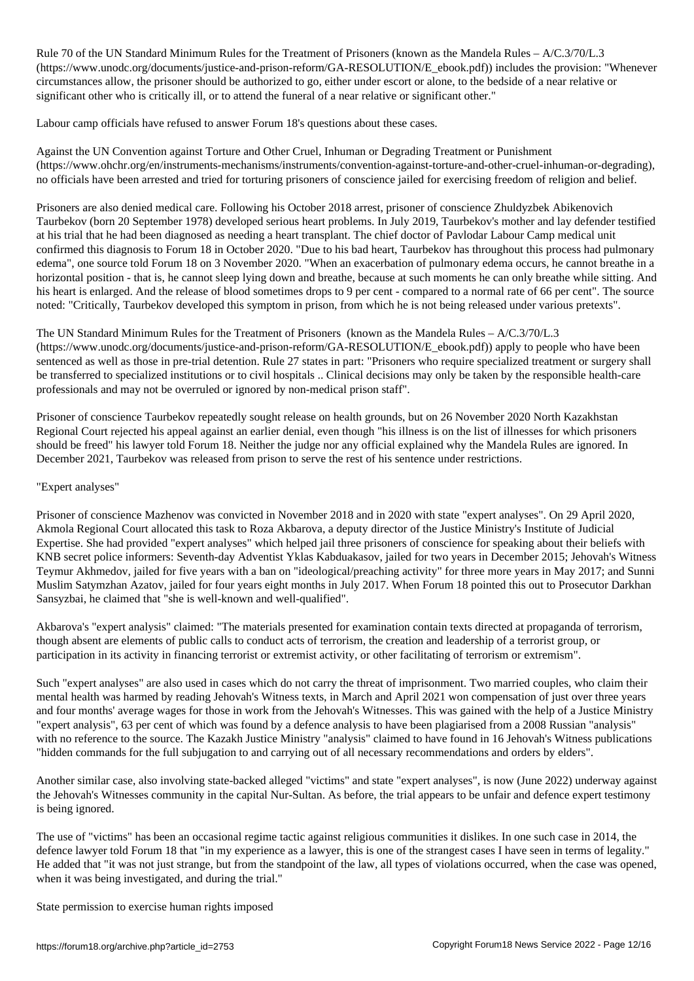(https://www.unodc.org/documents/justice-and-prison-reform/GA-RESOLUTION/E\_ebook.pdf)) includes the provision: "Whenever circumstances allow, the prisoner should be authorized to go, either under escort or alone, to the bedside of a near relative or significant other who is critically ill, or to attend the funeral of a near relative or significant other."

 $\mathcal{N}_{\text{max}}$ 

Labour camp officials have refused to answer Forum 18's questions about these cases.

Against the UN Convention against Torture and Other Cruel, Inhuman or Degrading Treatment or Punishment (https://www.ohchr.org/en/instruments-mechanisms/instruments/convention-against-torture-and-other-cruel-inhuman-or-degrading), no officials have been arrested and tried for torturing prisoners of conscience jailed for exercising freedom of religion and belief.

Prisoners are also denied medical care. Following his October 2018 arrest, prisoner of conscience Zhuldyzbek Abikenovich Taurbekov (born 20 September 1978) developed serious heart problems. In July 2019, Taurbekov's mother and lay defender testified at his trial that he had been diagnosed as needing a heart transplant. The chief doctor of Pavlodar Labour Camp medical unit confirmed this diagnosis to Forum 18 in October 2020. "Due to his bad heart, Taurbekov has throughout this process had pulmonary edema", one source told Forum 18 on 3 November 2020. "When an exacerbation of pulmonary edema occurs, he cannot breathe in a horizontal position - that is, he cannot sleep lying down and breathe, because at such moments he can only breathe while sitting. And his heart is enlarged. And the release of blood sometimes drops to 9 per cent - compared to a normal rate of 66 per cent". The source noted: "Critically, Taurbekov developed this symptom in prison, from which he is not being released under various pretexts".

The UN Standard Minimum Rules for the Treatment of Prisoners (known as the Mandela Rules – A/C.3/70/L.3 (https://www.unodc.org/documents/justice-and-prison-reform/GA-RESOLUTION/E\_ebook.pdf)) apply to people who have been sentenced as well as those in pre-trial detention. Rule 27 states in part: "Prisoners who require specialized treatment or surgery shall be transferred to specialized institutions or to civil hospitals .. Clinical decisions may only be taken by the responsible health-care professionals and may not be overruled or ignored by non-medical prison staff".

Prisoner of conscience Taurbekov repeatedly sought release on health grounds, but on 26 November 2020 North Kazakhstan Regional Court rejected his appeal against an earlier denial, even though "his illness is on the list of illnesses for which prisoners should be freed" his lawyer told Forum 18. Neither the judge nor any official explained why the Mandela Rules are ignored. In December 2021, Taurbekov was released from prison to serve the rest of his sentence under restrictions.

## "Expert analyses"

Prisoner of conscience Mazhenov was convicted in November 2018 and in 2020 with state "expert analyses". On 29 April 2020, Akmola Regional Court allocated this task to Roza Akbarova, a deputy director of the Justice Ministry's Institute of Judicial Expertise. She had provided "expert analyses" which helped jail three prisoners of conscience for speaking about their beliefs with KNB secret police informers: Seventh-day Adventist Yklas Kabduakasov, jailed for two years in December 2015; Jehovah's Witness Teymur Akhmedov, jailed for five years with a ban on "ideological/preaching activity" for three more years in May 2017; and Sunni Muslim Satymzhan Azatov, jailed for four years eight months in July 2017. When Forum 18 pointed this out to Prosecutor Darkhan Sansyzbai, he claimed that "she is well-known and well-qualified".

Akbarova's "expert analysis" claimed: "The materials presented for examination contain texts directed at propaganda of terrorism, though absent are elements of public calls to conduct acts of terrorism, the creation and leadership of a terrorist group, or participation in its activity in financing terrorist or extremist activity, or other facilitating of terrorism or extremism".

Such "expert analyses" are also used in cases which do not carry the threat of imprisonment. Two married couples, who claim their mental health was harmed by reading Jehovah's Witness texts, in March and April 2021 won compensation of just over three years and four months' average wages for those in work from the Jehovah's Witnesses. This was gained with the help of a Justice Ministry "expert analysis", 63 per cent of which was found by a defence analysis to have been plagiarised from a 2008 Russian "analysis" with no reference to the source. The Kazakh Justice Ministry "analysis" claimed to have found in 16 Jehovah's Witness publications "hidden commands for the full subjugation to and carrying out of all necessary recommendations and orders by elders".

Another similar case, also involving state-backed alleged "victims" and state "expert analyses", is now (June 2022) underway against the Jehovah's Witnesses community in the capital Nur-Sultan. As before, the trial appears to be unfair and defence expert testimony is being ignored.

The use of "victims" has been an occasional regime tactic against religious communities it dislikes. In one such case in 2014, the defence lawyer told Forum 18 that "in my experience as a lawyer, this is one of the strangest cases I have seen in terms of legality." He added that "it was not just strange, but from the standpoint of the law, all types of violations occurred, when the case was opened, when it was being investigated, and during the trial."

State permission to exercise human rights imposed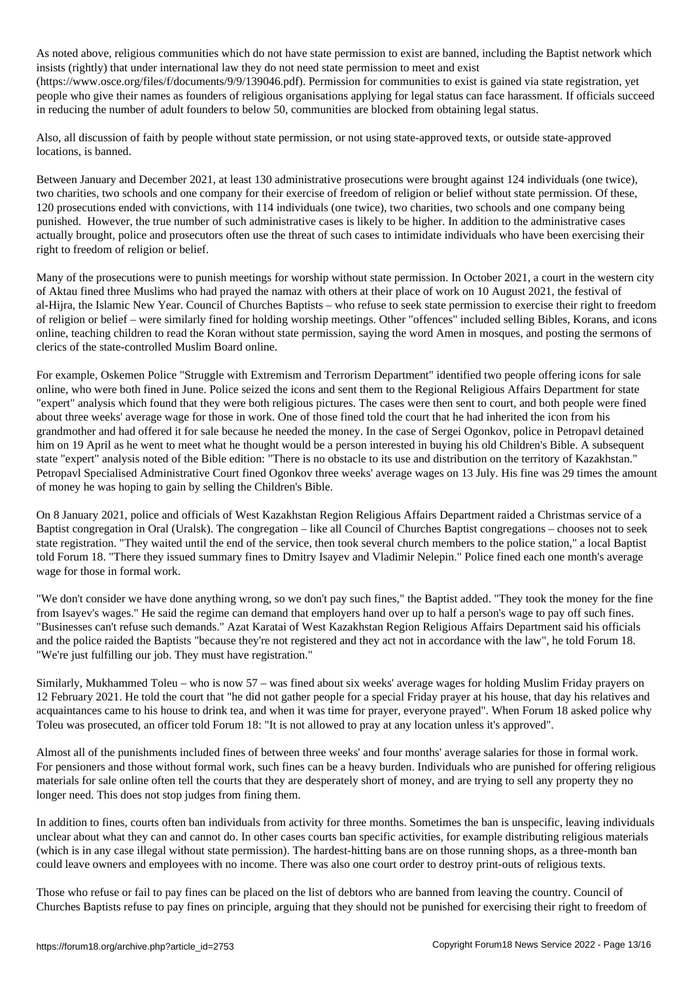As noted above, religious communities which do not have stated above, including the Baptist network which which which which which which which which which which which which which which which which which which which which w insists (rightly) that under international law they do not need state permission to meet and exist

(https://www.osce.org/files/f/documents/9/9/139046.pdf). Permission for communities to exist is gained via state registration, yet people who give their names as founders of religious organisations applying for legal status can face harassment. If officials succeed in reducing the number of adult founders to below 50, communities are blocked from obtaining legal status.

Also, all discussion of faith by people without state permission, or not using state-approved texts, or outside state-approved locations, is banned.

Between January and December 2021, at least 130 administrative prosecutions were brought against 124 individuals (one twice), two charities, two schools and one company for their exercise of freedom of religion or belief without state permission. Of these, 120 prosecutions ended with convictions, with 114 individuals (one twice), two charities, two schools and one company being punished. However, the true number of such administrative cases is likely to be higher. In addition to the administrative cases actually brought, police and prosecutors often use the threat of such cases to intimidate individuals who have been exercising their right to freedom of religion or belief.

Many of the prosecutions were to punish meetings for worship without state permission. In October 2021, a court in the western city of Aktau fined three Muslims who had prayed the namaz with others at their place of work on 10 August 2021, the festival of al-Hijra, the Islamic New Year. Council of Churches Baptists – who refuse to seek state permission to exercise their right to freedom of religion or belief – were similarly fined for holding worship meetings. Other "offences" included selling Bibles, Korans, and icons online, teaching children to read the Koran without state permission, saying the word Amen in mosques, and posting the sermons of clerics of the state-controlled Muslim Board online.

For example, Oskemen Police "Struggle with Extremism and Terrorism Department" identified two people offering icons for sale online, who were both fined in June. Police seized the icons and sent them to the Regional Religious Affairs Department for state "expert" analysis which found that they were both religious pictures. The cases were then sent to court, and both people were fined about three weeks' average wage for those in work. One of those fined told the court that he had inherited the icon from his grandmother and had offered it for sale because he needed the money. In the case of Sergei Ogonkov, police in Petropavl detained him on 19 April as he went to meet what he thought would be a person interested in buying his old Children's Bible. A subsequent state "expert" analysis noted of the Bible edition: "There is no obstacle to its use and distribution on the territory of Kazakhstan." Petropavl Specialised Administrative Court fined Ogonkov three weeks' average wages on 13 July. His fine was 29 times the amount of money he was hoping to gain by selling the Children's Bible.

On 8 January 2021, police and officials of West Kazakhstan Region Religious Affairs Department raided a Christmas service of a Baptist congregation in Oral (Uralsk). The congregation – like all Council of Churches Baptist congregations – chooses not to seek state registration. "They waited until the end of the service, then took several church members to the police station," a local Baptist told Forum 18. "There they issued summary fines to Dmitry Isayev and Vladimir Nelepin." Police fined each one month's average wage for those in formal work.

"We don't consider we have done anything wrong, so we don't pay such fines," the Baptist added. "They took the money for the fine from Isayev's wages." He said the regime can demand that employers hand over up to half a person's wage to pay off such fines. "Businesses can't refuse such demands." Azat Karatai of West Kazakhstan Region Religious Affairs Department said his officials and the police raided the Baptists "because they're not registered and they act not in accordance with the law", he told Forum 18. "We're just fulfilling our job. They must have registration."

Similarly, Mukhammed Toleu – who is now 57 – was fined about six weeks' average wages for holding Muslim Friday prayers on 12 February 2021. He told the court that "he did not gather people for a special Friday prayer at his house, that day his relatives and acquaintances came to his house to drink tea, and when it was time for prayer, everyone prayed". When Forum 18 asked police why Toleu was prosecuted, an officer told Forum 18: "It is not allowed to pray at any location unless it's approved".

Almost all of the punishments included fines of between three weeks' and four months' average salaries for those in formal work. For pensioners and those without formal work, such fines can be a heavy burden. Individuals who are punished for offering religious materials for sale online often tell the courts that they are desperately short of money, and are trying to sell any property they no longer need. This does not stop judges from fining them.

In addition to fines, courts often ban individuals from activity for three months. Sometimes the ban is unspecific, leaving individuals unclear about what they can and cannot do. In other cases courts ban specific activities, for example distributing religious materials (which is in any case illegal without state permission). The hardest-hitting bans are on those running shops, as a three-month ban could leave owners and employees with no income. There was also one court order to destroy print-outs of religious texts.

Those who refuse or fail to pay fines can be placed on the list of debtors who are banned from leaving the country. Council of Churches Baptists refuse to pay fines on principle, arguing that they should not be punished for exercising their right to freedom of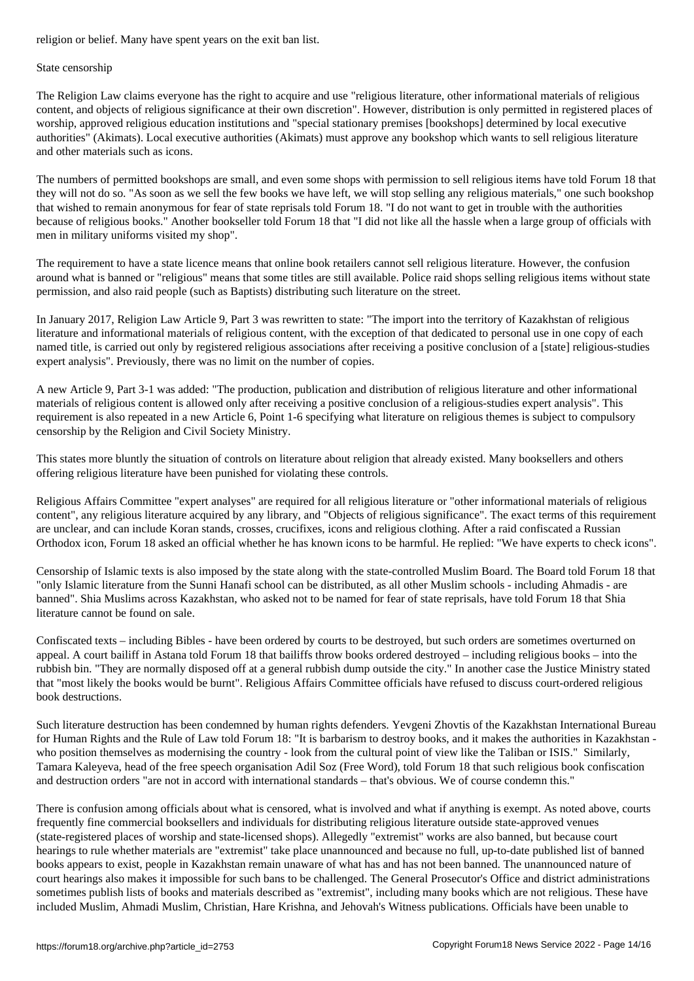#### State censorship

The Religion Law claims everyone has the right to acquire and use "religious literature, other informational materials of religious content, and objects of religious significance at their own discretion". However, distribution is only permitted in registered places of worship, approved religious education institutions and "special stationary premises [bookshops] determined by local executive authorities" (Akimats). Local executive authorities (Akimats) must approve any bookshop which wants to sell religious literature and other materials such as icons.

The numbers of permitted bookshops are small, and even some shops with permission to sell religious items have told Forum 18 that they will not do so. "As soon as we sell the few books we have left, we will stop selling any religious materials," one such bookshop that wished to remain anonymous for fear of state reprisals told Forum 18. "I do not want to get in trouble with the authorities because of religious books." Another bookseller told Forum 18 that "I did not like all the hassle when a large group of officials with men in military uniforms visited my shop".

The requirement to have a state licence means that online book retailers cannot sell religious literature. However, the confusion around what is banned or "religious" means that some titles are still available. Police raid shops selling religious items without state permission, and also raid people (such as Baptists) distributing such literature on the street.

In January 2017, Religion Law Article 9, Part 3 was rewritten to state: "The import into the territory of Kazakhstan of religious literature and informational materials of religious content, with the exception of that dedicated to personal use in one copy of each named title, is carried out only by registered religious associations after receiving a positive conclusion of a [state] religious-studies expert analysis". Previously, there was no limit on the number of copies.

A new Article 9, Part 3-1 was added: "The production, publication and distribution of religious literature and other informational materials of religious content is allowed only after receiving a positive conclusion of a religious-studies expert analysis". This requirement is also repeated in a new Article 6, Point 1-6 specifying what literature on religious themes is subject to compulsory censorship by the Religion and Civil Society Ministry.

This states more bluntly the situation of controls on literature about religion that already existed. Many booksellers and others offering religious literature have been punished for violating these controls.

Religious Affairs Committee "expert analyses" are required for all religious literature or "other informational materials of religious content", any religious literature acquired by any library, and "Objects of religious significance". The exact terms of this requirement are unclear, and can include Koran stands, crosses, crucifixes, icons and religious clothing. After a raid confiscated a Russian Orthodox icon, Forum 18 asked an official whether he has known icons to be harmful. He replied: "We have experts to check icons".

Censorship of Islamic texts is also imposed by the state along with the state-controlled Muslim Board. The Board told Forum 18 that "only Islamic literature from the Sunni Hanafi school can be distributed, as all other Muslim schools - including Ahmadis - are banned". Shia Muslims across Kazakhstan, who asked not to be named for fear of state reprisals, have told Forum 18 that Shia literature cannot be found on sale.

Confiscated texts – including Bibles - have been ordered by courts to be destroyed, but such orders are sometimes overturned on appeal. A court bailiff in Astana told Forum 18 that bailiffs throw books ordered destroyed – including religious books – into the rubbish bin. "They are normally disposed off at a general rubbish dump outside the city." In another case the Justice Ministry stated that "most likely the books would be burnt". Religious Affairs Committee officials have refused to discuss court-ordered religious book destructions.

Such literature destruction has been condemned by human rights defenders. Yevgeni Zhovtis of the Kazakhstan International Bureau for Human Rights and the Rule of Law told Forum 18: "It is barbarism to destroy books, and it makes the authorities in Kazakhstan who position themselves as modernising the country - look from the cultural point of view like the Taliban or ISIS." Similarly, Tamara Kaleyeva, head of the free speech organisation Adil Soz (Free Word), told Forum 18 that such religious book confiscation and destruction orders "are not in accord with international standards – that's obvious. We of course condemn this."

There is confusion among officials about what is censored, what is involved and what if anything is exempt. As noted above, courts frequently fine commercial booksellers and individuals for distributing religious literature outside state-approved venues (state-registered places of worship and state-licensed shops). Allegedly "extremist" works are also banned, but because court hearings to rule whether materials are "extremist" take place unannounced and because no full, up-to-date published list of banned books appears to exist, people in Kazakhstan remain unaware of what has and has not been banned. The unannounced nature of court hearings also makes it impossible for such bans to be challenged. The General Prosecutor's Office and district administrations sometimes publish lists of books and materials described as "extremist", including many books which are not religious. These have included Muslim, Ahmadi Muslim, Christian, Hare Krishna, and Jehovah's Witness publications. Officials have been unable to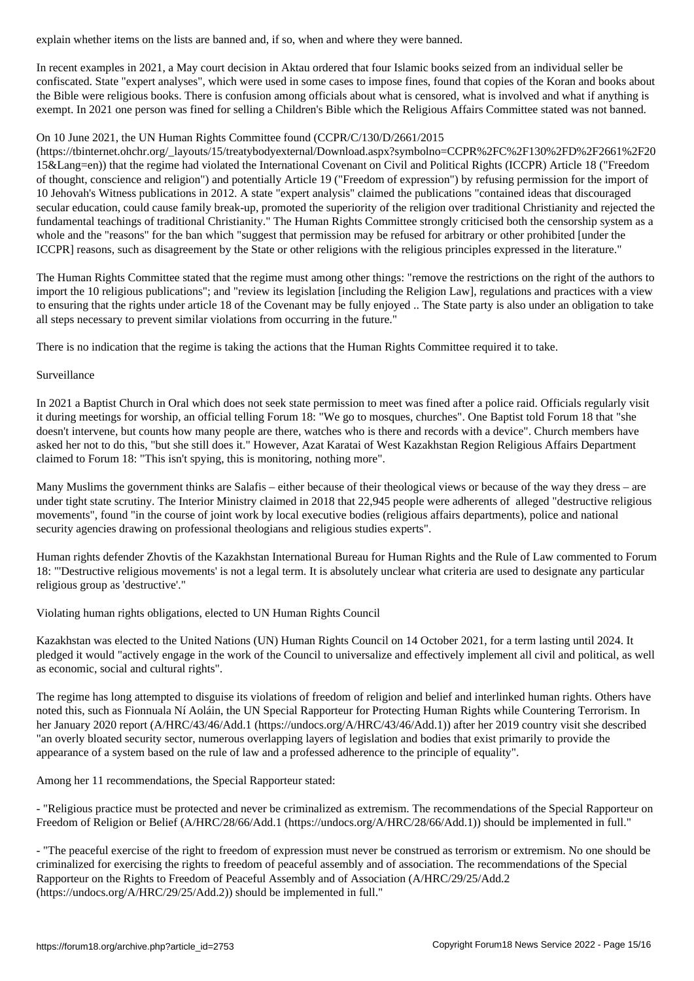In recent examples in 2021, a May court decision in Aktau ordered that four Islamic books seized from an individual seller be confiscated. State "expert analyses", which were used in some cases to impose fines, found that copies of the Koran and books about the Bible were religious books. There is confusion among officials about what is censored, what is involved and what if anything is exempt. In 2021 one person was fined for selling a Children's Bible which the Religious Affairs Committee stated was not banned.

## On 10 June 2021, the UN Human Rights Committee found (CCPR/C/130/D/2661/2015

(https://tbinternet.ohchr.org/\_layouts/15/treatybodyexternal/Download.aspx?symbolno=CCPR%2FC%2F130%2FD%2F2661%2F20 15&Lang=en)) that the regime had violated the International Covenant on Civil and Political Rights (ICCPR) Article 18 ("Freedom of thought, conscience and religion") and potentially Article 19 ("Freedom of expression") by refusing permission for the import of 10 Jehovah's Witness publications in 2012. A state "expert analysis" claimed the publications "contained ideas that discouraged secular education, could cause family break-up, promoted the superiority of the religion over traditional Christianity and rejected the fundamental teachings of traditional Christianity." The Human Rights Committee strongly criticised both the censorship system as a whole and the "reasons" for the ban which "suggest that permission may be refused for arbitrary or other prohibited [under the ICCPR] reasons, such as disagreement by the State or other religions with the religious principles expressed in the literature."

The Human Rights Committee stated that the regime must among other things: "remove the restrictions on the right of the authors to import the 10 religious publications"; and "review its legislation [including the Religion Law], regulations and practices with a view to ensuring that the rights under article 18 of the Covenant may be fully enjoyed .. The State party is also under an obligation to take all steps necessary to prevent similar violations from occurring in the future."

There is no indication that the regime is taking the actions that the Human Rights Committee required it to take.

## Surveillance

In 2021 a Baptist Church in Oral which does not seek state permission to meet was fined after a police raid. Officials regularly visit it during meetings for worship, an official telling Forum 18: "We go to mosques, churches". One Baptist told Forum 18 that "she doesn't intervene, but counts how many people are there, watches who is there and records with a device". Church members have asked her not to do this, "but she still does it." However, Azat Karatai of West Kazakhstan Region Religious Affairs Department claimed to Forum 18: "This isn't spying, this is monitoring, nothing more".

Many Muslims the government thinks are Salafis – either because of their theological views or because of the way they dress – are under tight state scrutiny. The Interior Ministry claimed in 2018 that 22,945 people were adherents of alleged "destructive religious movements", found "in the course of joint work by local executive bodies (religious affairs departments), police and national security agencies drawing on professional theologians and religious studies experts".

Human rights defender Zhovtis of the Kazakhstan International Bureau for Human Rights and the Rule of Law commented to Forum 18: "'Destructive religious movements' is not a legal term. It is absolutely unclear what criteria are used to designate any particular religious group as 'destructive'."

Violating human rights obligations, elected to UN Human Rights Council

Kazakhstan was elected to the United Nations (UN) Human Rights Council on 14 October 2021, for a term lasting until 2024. It pledged it would "actively engage in the work of the Council to universalize and effectively implement all civil and political, as well as economic, social and cultural rights".

The regime has long attempted to disguise its violations of freedom of religion and belief and interlinked human rights. Others have noted this, such as Fionnuala Ní Aoláin, the UN Special Rapporteur for Protecting Human Rights while Countering Terrorism. In her January 2020 report (A/HRC/43/46/Add.1 (https://undocs.org/A/HRC/43/46/Add.1)) after her 2019 country visit she described "an overly bloated security sector, numerous overlapping layers of legislation and bodies that exist primarily to provide the appearance of a system based on the rule of law and a professed adherence to the principle of equality".

Among her 11 recommendations, the Special Rapporteur stated:

- "Religious practice must be protected and never be criminalized as extremism. The recommendations of the Special Rapporteur on Freedom of Religion or Belief (A/HRC/28/66/Add.1 (https://undocs.org/A/HRC/28/66/Add.1)) should be implemented in full."

- "The peaceful exercise of the right to freedom of expression must never be construed as terrorism or extremism. No one should be criminalized for exercising the rights to freedom of peaceful assembly and of association. The recommendations of the Special Rapporteur on the Rights to Freedom of Peaceful Assembly and of Association (A/HRC/29/25/Add.2 (https://undocs.org/A/HRC/29/25/Add.2)) should be implemented in full."